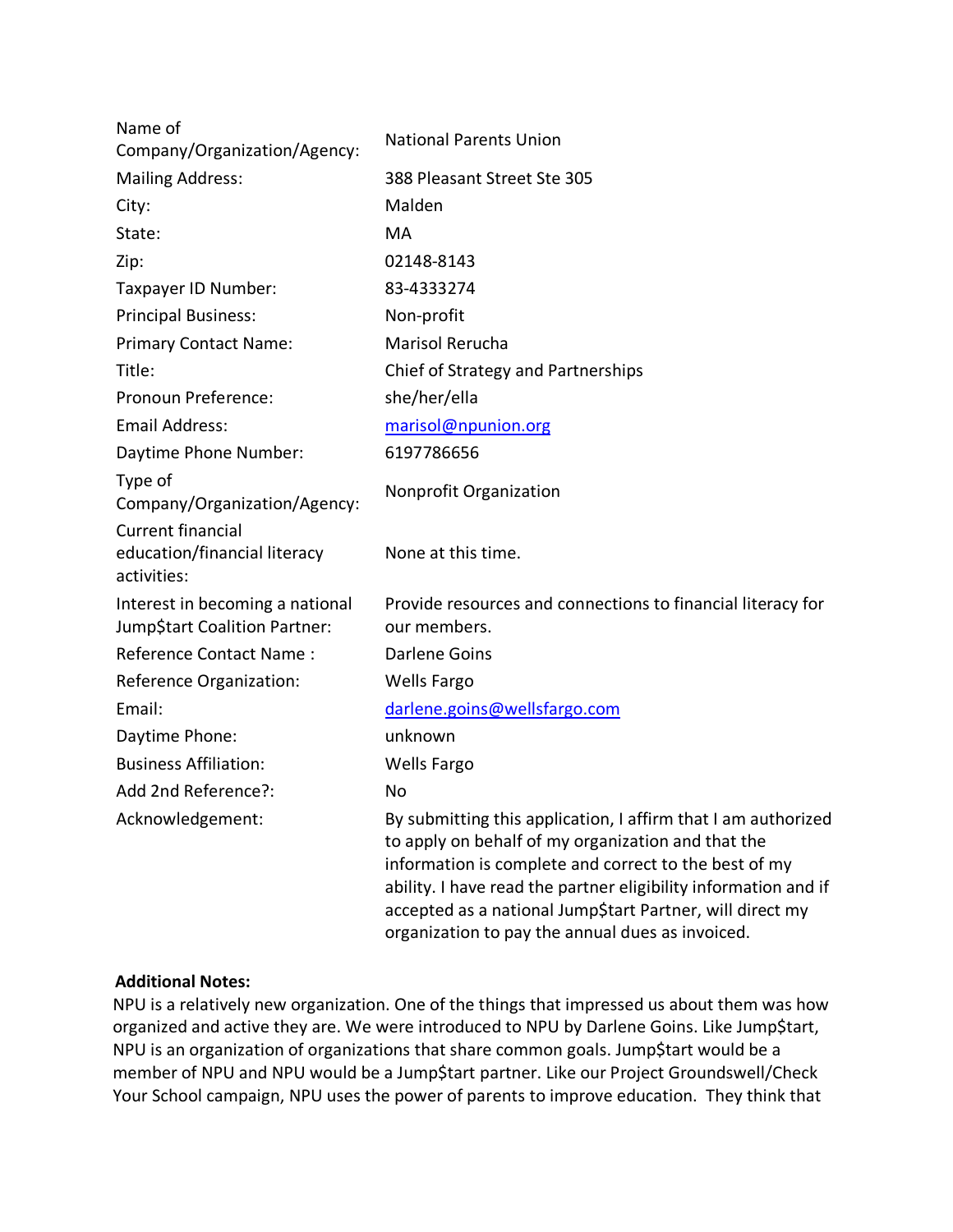| Name of<br>Company/Organization/Agency:                                 | <b>National Parents Union</b>                                                                                                                                                                                                                                                                                                                                    |
|-------------------------------------------------------------------------|------------------------------------------------------------------------------------------------------------------------------------------------------------------------------------------------------------------------------------------------------------------------------------------------------------------------------------------------------------------|
| <b>Mailing Address:</b>                                                 | 388 Pleasant Street Ste 305                                                                                                                                                                                                                                                                                                                                      |
| City:                                                                   | Malden                                                                                                                                                                                                                                                                                                                                                           |
| State:                                                                  | MA                                                                                                                                                                                                                                                                                                                                                               |
| Zip:                                                                    | 02148-8143                                                                                                                                                                                                                                                                                                                                                       |
| Taxpayer ID Number:                                                     | 83-4333274                                                                                                                                                                                                                                                                                                                                                       |
| <b>Principal Business:</b>                                              | Non-profit                                                                                                                                                                                                                                                                                                                                                       |
| <b>Primary Contact Name:</b>                                            | Marisol Rerucha                                                                                                                                                                                                                                                                                                                                                  |
| Title:                                                                  | Chief of Strategy and Partnerships                                                                                                                                                                                                                                                                                                                               |
| Pronoun Preference:                                                     | she/her/ella                                                                                                                                                                                                                                                                                                                                                     |
| <b>Email Address:</b>                                                   | marisol@npunion.org                                                                                                                                                                                                                                                                                                                                              |
| Daytime Phone Number:                                                   | 6197786656                                                                                                                                                                                                                                                                                                                                                       |
| Type of<br>Company/Organization/Agency:                                 | Nonprofit Organization                                                                                                                                                                                                                                                                                                                                           |
| <b>Current financial</b><br>education/financial literacy<br>activities: | None at this time.                                                                                                                                                                                                                                                                                                                                               |
| Interest in becoming a national<br>Jump\$tart Coalition Partner:        | Provide resources and connections to financial literacy for<br>our members.                                                                                                                                                                                                                                                                                      |
| Reference Contact Name:                                                 | <b>Darlene Goins</b>                                                                                                                                                                                                                                                                                                                                             |
| Reference Organization:                                                 | <b>Wells Fargo</b>                                                                                                                                                                                                                                                                                                                                               |
| Email:                                                                  | darlene.goins@wellsfargo.com                                                                                                                                                                                                                                                                                                                                     |
| Daytime Phone:                                                          | unknown                                                                                                                                                                                                                                                                                                                                                          |
| <b>Business Affiliation:</b>                                            | <b>Wells Fargo</b>                                                                                                                                                                                                                                                                                                                                               |
| Add 2nd Reference?:                                                     | <b>No</b>                                                                                                                                                                                                                                                                                                                                                        |
| Acknowledgement:                                                        | By submitting this application, I affirm that I am authorized<br>to apply on behalf of my organization and that the<br>information is complete and correct to the best of my<br>ability. I have read the partner eligibility information and if<br>accepted as a national Jump\$tart Partner, will direct my<br>organization to pay the annual dues as invoiced. |

## **Additional Notes:**

NPU is a relatively new organization. One of the things that impressed us about them was how organized and active they are. We were introduced to NPU by Darlene Goins. Like Jump\$tart, NPU is an organization of organizations that share common goals. Jump\$tart would be a member of NPU and NPU would be a Jump\$tart partner. Like our Project Groundswell/Check Your School campaign, NPU uses the power of parents to improve education. They think that